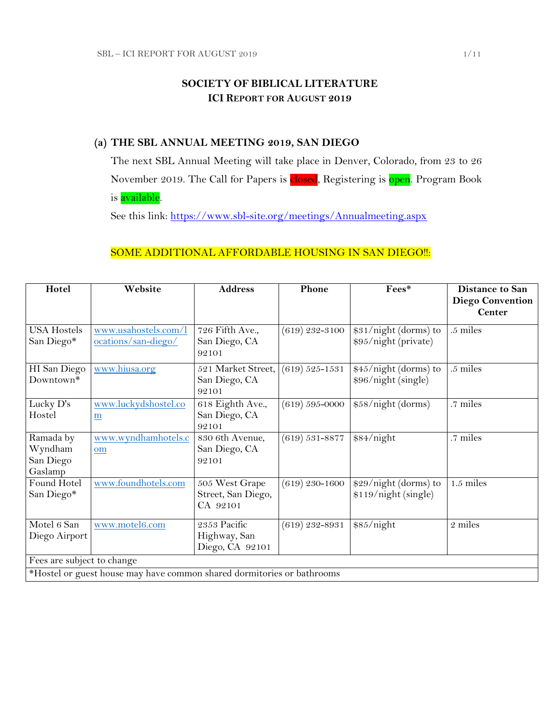## **SOCIETY OF BIBLICAL LITERATURE ICI REPORT FOR AUGUST 2019**

## **(a) THE SBL ANNUAL MEETING 2019, SAN DIEGO**

The next SBL Annual Meeting will take place in Denver, Colorado, from 23 to 26 November 2019. The Call for Papers is closed, Registering is open. Program Book is **available**.

See this link:<https://www.sbl-site.org/meetings/Annualmeeting.aspx>

## SOME ADDITIONAL AFFORDABLE HOUSING IN SAN DIEGO !!:

| Hotel                                                                  | Website                                     | <b>Address</b>                                   | Phone              | Fees*                                         | <b>Distance to San</b><br><b>Diego Convention</b> |
|------------------------------------------------------------------------|---------------------------------------------|--------------------------------------------------|--------------------|-----------------------------------------------|---------------------------------------------------|
|                                                                        |                                             |                                                  |                    |                                               | <b>Center</b>                                     |
| <b>USA Hostels</b><br>San Diego*                                       | www.usahostels.com/l<br>ocations/san-diego/ | 726 Fifth Ave.,<br>San Diego, CA<br>92101        | $(619)$ 232-3100   | \$31/night (dorms) to<br>\$95/night (private) | .5 miles                                          |
| HI San Diego<br>Downtown*                                              | www.hiusa.org                               | 521 Market Street,<br>San Diego, CA<br>92101     | $(619) 525 - 1531$ | \$45/night (dorms) to<br>\$96/night (single)  | .5 miles                                          |
| Lucky D's<br>Hostel                                                    | www.luckydshostel.co<br>$\underline{m}$     | 618 Eighth Ave.,<br>San Diego, CA<br>92101       | $(619) 595 - 0000$ | \$58/night (dorms)                            | .7 miles                                          |
| Ramada by<br>Wyndham<br>San Diego<br>Gaslamp                           | www.wyndhamhotels.c<br>om                   | 830 6th Avenue,<br>San Diego, CA<br>92101        | $(619) 531 - 8877$ | \$84/night                                    | .7 miles                                          |
| Found Hotel<br>San Diego*                                              | www.foundhotels.com                         | 505 West Grape<br>Street, San Diego,<br>CA 92101 | $(619)$ 230–1600   | \$29/night (dorms) to<br>\$119/night (single) | $1.5$ miles                                       |
| Motel 6 San<br>Diego Airport                                           | www.motel6.com                              | 2353 Pacific<br>Highway, San<br>Diego, CA 92101  | $(619)$ 232-8931   | \$85/night                                    | 2 miles                                           |
| Fees are subject to change                                             |                                             |                                                  |                    |                                               |                                                   |
| *Hostel or guest house may have common shared dormitories or bathrooms |                                             |                                                  |                    |                                               |                                                   |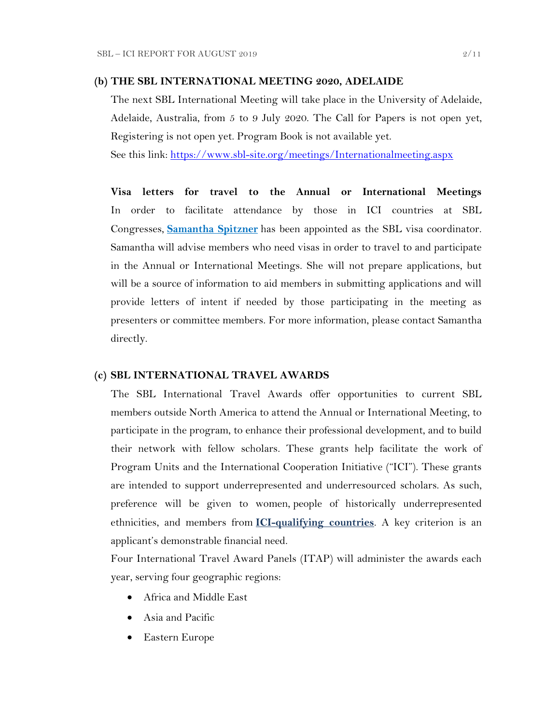### **(b) THE SBL INTERNATIONAL MEETING 2020, ADELAIDE**

The next SBL International Meeting will take place in the University of Adelaide, Adelaide, Australia, from 5 to 9 July 2020. The Call for Papers is not open yet, Registering is not open yet. Program Book is not available yet.

See this link:<https://www.sbl-site.org/meetings/Internationalmeeting.aspx>

**Visa letters for travel to the Annual or International Meetings** In order to facilitate attendance by those in ICI countries at SBL Congresses, **[Samantha Spitzner](mailto:samantha.spitzner@sbl-site.org)** has been appointed as the SBL visa coordinator. Samantha will advise members who need visas in order to travel to and participate in the Annual or International Meetings. She will not prepare applications, but will be a source of information to aid members in submitting applications and will provide letters of intent if needed by those participating in the meeting as presenters or committee members. For more information, please contact Samantha directly.

#### **(c) SBL INTERNATIONAL TRAVEL AWARDS**

The SBL International Travel Awards offer opportunities to current SBL members outside North America to attend the Annual or International Meeting, to participate in the program, to enhance their professional development, and to build their network with fellow scholars. These grants help facilitate the work of Program Units and the International Cooperation Initiative ("ICI"). These grants are intended to support underrepresented and underresourced scholars. As such, preference will be given to women, people of historically underrepresented ethnicities, and members from **[ICI-qualifying countries](https://www.sbl-site.org/assets/pdfs/ICIcountries.pdf)**. A key criterion is an applicant's demonstrable financial need.

Four International Travel Award Panels (ITAP) will administer the awards each year, serving four geographic regions:

- Africa and Middle East
- Asia and Pacific
- Eastern Europe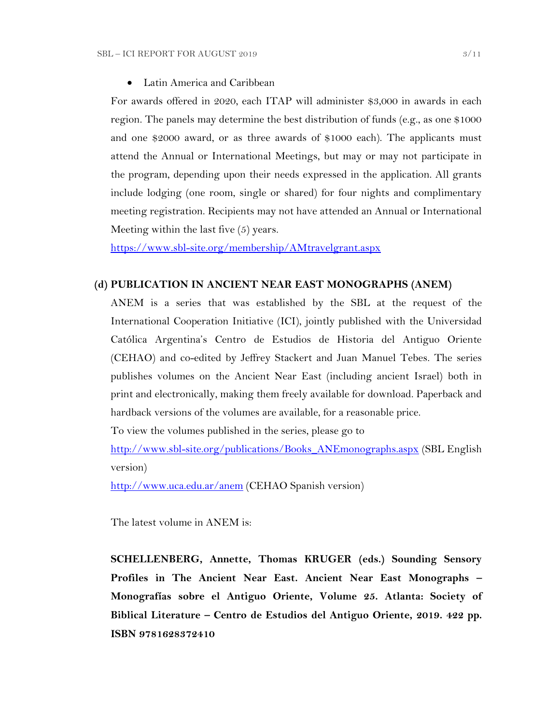Latin America and Caribbean

For awards offered in 2020, each ITAP will administer \$3,000 in awards in each region. The panels may determine the best distribution of funds (e.g., as one \$1000 and one \$2000 award, or as three awards of \$1000 each). The applicants must attend the Annual or International Meetings, but may or may not participate in the program, depending upon their needs expressed in the application. All grants include lodging (one room, single or shared) for four nights and complimentary meeting registration. Recipients may not have attended an Annual or International Meeting within the last five (5) years.

<https://www.sbl-site.org/membership/AMtravelgrant.aspx>

### **(d) PUBLICATION IN [ANCIENT NEAR EAST MONOGRAPHS](http://www.sbl-site.org/publications/Books_ANEmonographs.aspx) (ANEM)**

ANEM is a series that was established by the SBL at the request of the International Cooperation Initiative (ICI), jointly published with the Universidad Católica Argentina's Centro de Estudios de Historia del Antiguo Oriente (CEHAO) and co-edited by Jeffrey Stackert and Juan Manuel Tebes. The series publishes volumes on the Ancient Near East (including ancient Israel) both in print and electronically, making them freely available for download. Paperback and hardback versions of the volumes are available, for a reasonable price.

To view the volumes published in the series, please go to

[http://www.sbl-site.org/publications/Books\\_ANEmonographs.aspx](http://www.sbl-site.org/publications/Books_ANEmonographs.aspx) (SBL English version)

<http://www.uca.edu.ar/anem> (CEHAO Spanish version)

The latest volume in ANEM is:

**SCHELLENBERG, Annette, Thomas KRUGER (eds.) Sounding Sensory Profiles in The Ancient Near East. Ancient Near East Monographs – Monografías sobre el Antiguo Oriente, Volume 25. Atlanta: Society of Biblical Literature – Centro de Estudios del Antiguo Oriente, 2019. 422 pp. ISBN 9781628372410**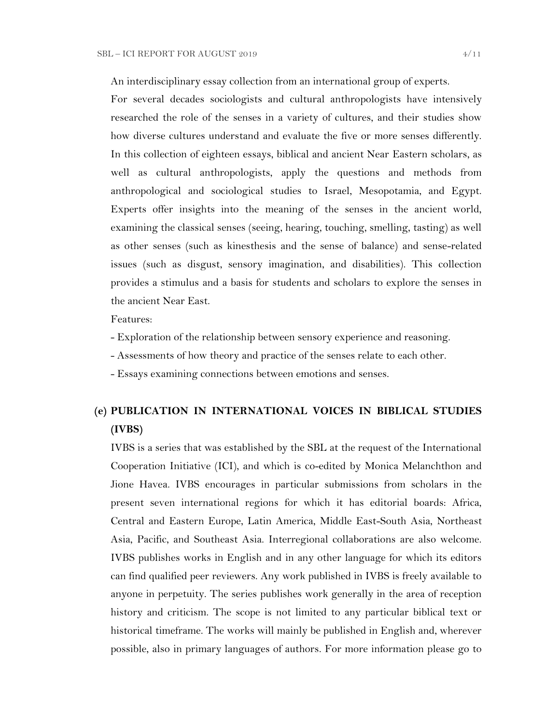An interdisciplinary essay collection from an international group of experts.

For several decades sociologists and cultural anthropologists have intensively researched the role of the senses in a variety of cultures, and their studies show how diverse cultures understand and evaluate the five or more senses differently. In this collection of eighteen essays, biblical and ancient Near Eastern scholars, as well as cultural anthropologists, apply the questions and methods from anthropological and sociological studies to Israel, Mesopotamia, and Egypt. Experts offer insights into the meaning of the senses in the ancient world, examining the classical senses (seeing, hearing, touching, smelling, tasting) as well as other senses (such as kinesthesis and the sense of balance) and sense-related issues (such as disgust, sensory imagination, and disabilities). This collection provides a stimulus and a basis for students and scholars to explore the senses in the ancient Near East.

Features:

- Exploration of the relationship between sensory experience and reasoning.
- Assessments of how theory and practice of the senses relate to each other.
- Essays examining connections between emotions and senses.

# **(e) PUBLICATION IN INTERNATIONAL VOICES IN BIBLICAL STUDIES (IVBS)**

IVBS is a series that was established by the SBL at the request of the International Cooperation Initiative (ICI), and which is co-edited by Monica Melanchthon and Jione Havea. IVBS encourages in particular submissions from scholars in the present seven international regions for which it has editorial boards: Africa, Central and Eastern Europe, Latin America, Middle East-South Asia, Northeast Asia, Pacific, and Southeast Asia. Interregional collaborations are also welcome. IVBS publishes works in English and in any other language for which its editors can find qualified peer reviewers. Any work published in IVBS is freely available to anyone in perpetuity. The series publishes work generally in the area of reception history and criticism. The scope is not limited to any particular biblical text or historical timeframe. The works will mainly be published in English and, wherever possible, also in primary languages of authors. For more information please go to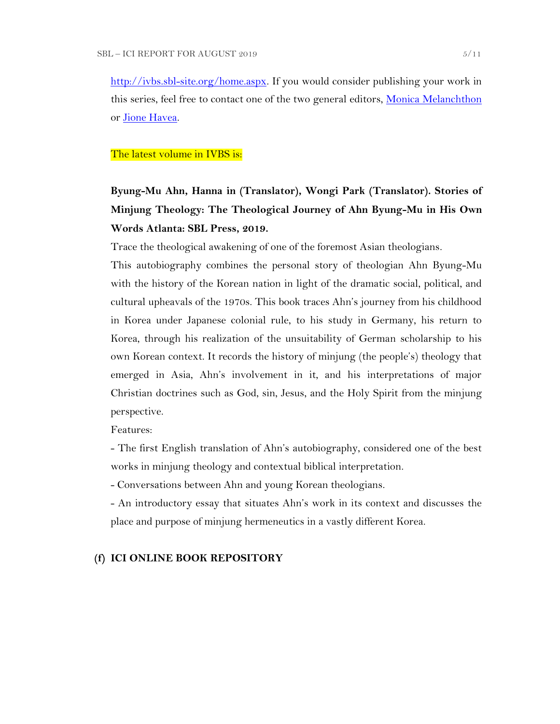[http://ivbs.sbl-site.org/home.aspx.](http://ivbs.sbl-site.org/home.aspx) If you would consider publishing your work in this series, feel free to contact one of the two general editors, [Monica Melanchthon](mailto:ivbs2010@gmail.com) or [Jione Havea.](mailto:jioneh@nsw.uca.org.au)

#### The latest volume in IVBS is:

# **Byung-Mu Ahn, Hanna in (Translator), Wongi Park (Translator). Stories of Minjung Theology: The Theological Journey of Ahn Byung-Mu in His Own Words Atlanta: SBL Press, 2019.**

Trace the theological awakening of one of the foremost Asian theologians.

This autobiography combines the personal story of theologian Ahn Byung-Mu with the history of the Korean nation in light of the dramatic social, political, and cultural upheavals of the 1970s. This book traces Ahn's journey from his childhood in Korea under Japanese colonial rule, to his study in Germany, his return to Korea, through his realization of the unsuitability of German scholarship to his own Korean context. It records the history of minjung (the people's) theology that emerged in Asia, Ahn's involvement in it, and his interpretations of major Christian doctrines such as God, sin, Jesus, and the Holy Spirit from the minjung perspective.

Features:

- The first English translation of Ahn's autobiography, considered one of the best works in minjung theology and contextual biblical interpretation.

- Conversations between Ahn and young Korean theologians.

- An introductory essay that situates Ahn's work in its context and discusses the place and purpose of minjung hermeneutics in a vastly different Korea.

## **(f) ICI ONLINE BOOK REPOSITORY**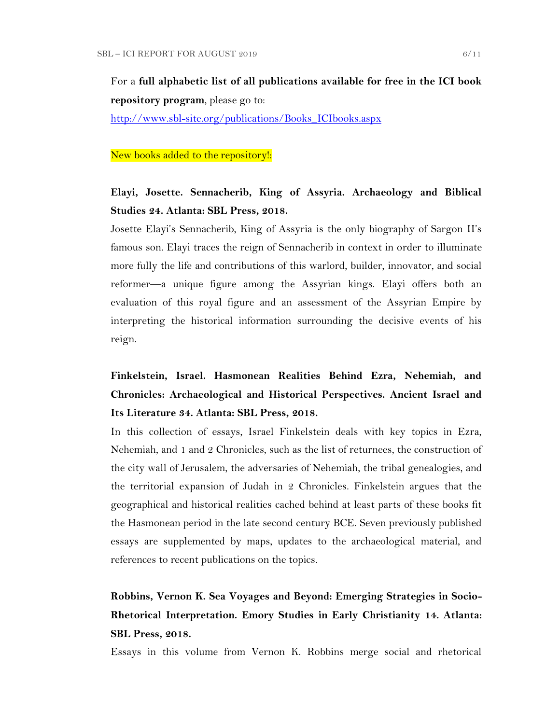For a **full alphabetic list of all publications available for free in the ICI book repository program**, please go to:

[http://www.sbl-site.org/publications/Books\\_ICIbooks.aspx](http://www.sbl-site.org/publications/Books_ICIbooks.aspx)

#### New books added to the repository!:

## **Elayi, Josette. Sennacherib, King of Assyria. Archaeology and Biblical Studies 24. Atlanta: SBL Press, 2018.**

Josette Elayi's Sennacherib, King of Assyria is the only biography of Sargon II's famous son. Elayi traces the reign of Sennacherib in context in order to illuminate more fully the life and contributions of this warlord, builder, innovator, and social reformer—a unique figure among the Assyrian kings. Elayi offers both an evaluation of this royal figure and an assessment of the Assyrian Empire by interpreting the historical information surrounding the decisive events of his reign.

**Finkelstein, Israel. Hasmonean Realities Behind Ezra, Nehemiah, and Chronicles: Archaeological and Historical Perspectives. Ancient Israel and Its Literature 34. Atlanta: SBL Press, 2018.**

In this collection of essays, Israel Finkelstein deals with key topics in Ezra, Nehemiah, and 1 and 2 Chronicles, such as the list of returnees, the construction of the city wall of Jerusalem, the adversaries of Nehemiah, the tribal genealogies, and the territorial expansion of Judah in 2 Chronicles. Finkelstein argues that the geographical and historical realities cached behind at least parts of these books fit the Hasmonean period in the late second century BCE. Seven previously published essays are supplemented by maps, updates to the archaeological material, and references to recent publications on the topics.

# **Robbins, Vernon K. Sea Voyages and Beyond: Emerging Strategies in Socio-Rhetorical Interpretation. Emory Studies in Early Christianity 14. Atlanta: SBL Press, 2018.**

Essays in this volume from Vernon K. Robbins merge social and rhetorical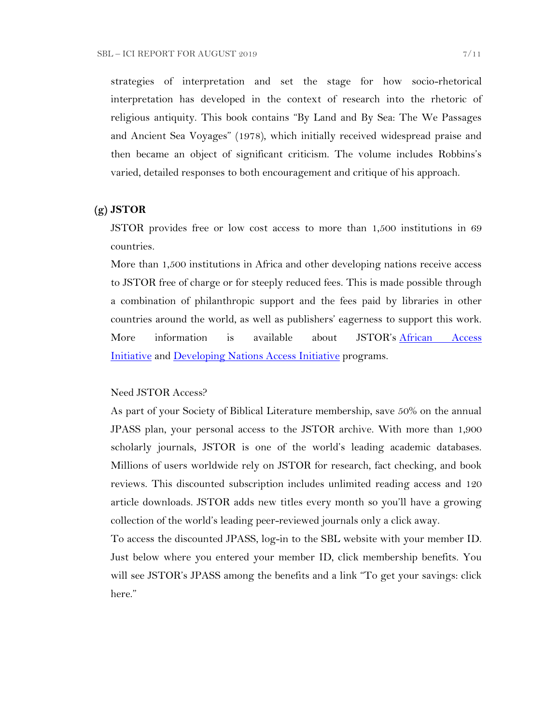strategies of interpretation and set the stage for how socio-rhetorical interpretation has developed in the context of research into the rhetoric of religious antiquity. This book contains "By Land and By Sea: The We Passages and Ancient Sea Voyages" (1978), which initially received widespread praise and then became an object of significant criticism. The volume includes Robbins's varied, detailed responses to both encouragement and critique of his approach.

### **(g) JSTOR**

JSTOR provides free or low cost access to more than 1,500 institutions in 69 countries.

More than 1,500 institutions in Africa and other developing nations receive access to JSTOR free of charge or for steeply reduced fees. This is made possible through a combination of philanthropic support and the fees paid by libraries in other countries around the world, as well as publishers' eagerness to support this work. More information is available about JSTOR's [African Access](http://about.jstor.org/libraries/african-access-initiative)  [Initiative](http://about.jstor.org/libraries/african-access-initiative) and [Developing Nations Access Initiative](http://about.jstor.org/libraries/developing-nations-access-initiative) programs.

### Need JSTOR Access?

As part of your Society of Biblical Literature membership, save 50% on the annual JPASS plan, your personal access to the JSTOR archive. With more than 1,900 scholarly journals, JSTOR is one of the world's leading academic databases. Millions of users worldwide rely on JSTOR for research, fact checking, and book reviews. This discounted subscription includes unlimited reading access and 120 article downloads. JSTOR adds new titles every month so you'll have a growing collection of the world's leading peer-reviewed journals only a click away.

To access the discounted JPASS, log-in to the SBL website with your member ID. Just below where you entered your member ID, click membership benefits. You will see JSTOR's JPASS among the benefits and a link "To get your savings: click here."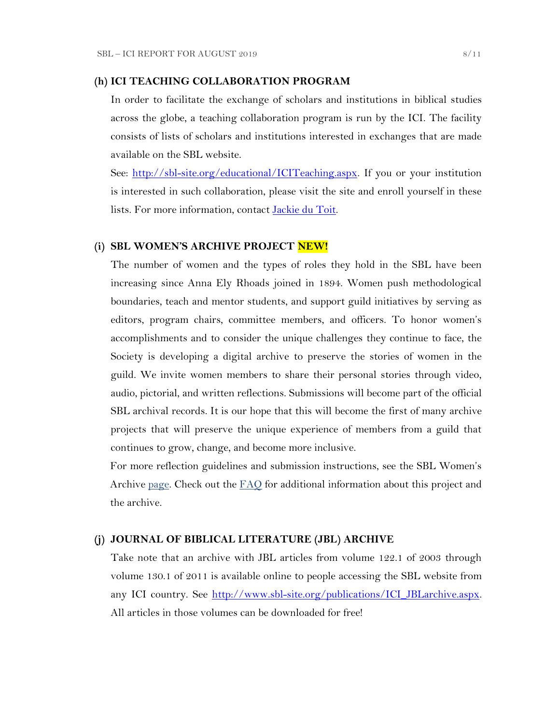#### **(h) ICI TEACHING COLLABORATION PROGRAM**

In order to facilitate the exchange of scholars and institutions in biblical studies across the globe, a teaching collaboration program is run by the ICI. The facility consists of lists of scholars and institutions interested in exchanges that are made available on the SBL website.

See: [http://sbl-site.org/educational/ICITeaching.aspx.](http://sbl-site.org/educational/ICITeaching.aspx) If you or your institution is interested in such collaboration, please visit the site and enroll yourself in these lists. For more information, contact [Jackie du Toit.](mailto:dutoitjs@ufs.ac.za)

### **(i) SBL WOMEN'S ARCHIVE PROJECT NEW!**

The number of women and the types of roles they hold in the SBL have been increasing since Anna Ely Rhoads joined in 1894. Women push methodological boundaries, teach and mentor students, and support guild initiatives by serving as editors, program chairs, committee members, and officers. To honor women's accomplishments and to consider the unique challenges they continue to face, the Society is developing a digital archive to preserve the stories of women in the guild. We invite women members to share their personal stories through video, audio, pictorial, and written reflections. Submissions will become part of the official SBL archival records. It is our hope that this will become the first of many archive projects that will preserve the unique experience of members from a guild that continues to grow, change, and become more inclusive.

For more reflection guidelines and submission instructions, see the SBL Women's Archive [page.](https://nam04.safelinks.protection.outlook.com/?url=http%3A%2F%2Fr20.rs6.net%2Ftn.jsp%3Ff%3D001UxB5SQIuVUKz9COuM3IsPWnWKqoK39z2VG4xqTm8KZlA_ZE17Z7Fa2PmCgTjMMxZJIpcAIjlvUF-irxd2rwYbEMLTrV0K_WM51IpZKkkhMDgd8_9aVPRw3rlId_KW8E944PO6OC3qczzRWSY7H-TuxvuErx13KKirGuJ38oWvop66nka2FiuLpzq0iT-us5e%26c%3DQ2tCZ6oCYeHLWgeasA7YFffpqmCkeEopn2jFFHww1HRSHdGZkow9Cg%3D%3D%26ch%3Dndma_uDxhxPhjRABmkw-gBQiRkfwAotBZK8Ps3z0wu4oDwHg9u9sLg%3D%3D&data=02%7C01%7CWALFORD_ND%40mercer.edu%7Cf513cd74ff8548bede3608d6b5da7f75%7C4fb34d2889b247109bcc30824d17fc30%7C0%7C0%7C636896347381808305&sdata=tiSsidRd6oL6K11UbD%2BSSPY7fRIjvdDnpsEU3BWCZRg%3D&reserved=0) Check out the [FAQ](http://r20.rs6.net/tn.jsp?f=001daD3lBrhj8ZbS8-GLHmkkfCXBAC1VygxiIGaWr04TSwAe6xpaQQvNJKWplVAEpG6TEU1_8KlnBObWx0oZC8x7WoLEp77_1CFtxX0KaAFLBjOBdYTd2f5qgWSoEYDRce9P__OLb1j9qY-AF3VQc1Y44LRzHcBpPqZU-EHsK1QZTJIoW4LFbKk7i8Ng-wzmNHDH6gAjZEh02zQc7Hju5X1UnsIvXFI2f0S&c=eIPPqaSd2_Vy4YClv5OeeUxZS30eJVZ-NpEqtmoT_RO1qkg45kBI_g==&ch=TNoNbOW4OE_N3IXbNrssVzBYer7u1PunhQWZuBYieCMVeDT7hGjUZQ==) for additional information about this project and the archive.

#### **(j) JOURNAL OF BIBLICAL LITERATURE (JBL) ARCHIVE**

Take note that an archive with JBL articles from volume 122.1 of 2003 through volume 130.1 of 2011 is available online to people accessing the SBL website from any ICI country. See [http://www.sbl-site.org/publications/ICI\\_JBLarchive.aspx.](http://www.sbl-site.org/publications/ICI_JBLarchive.aspx) All articles in those volumes can be downloaded for free!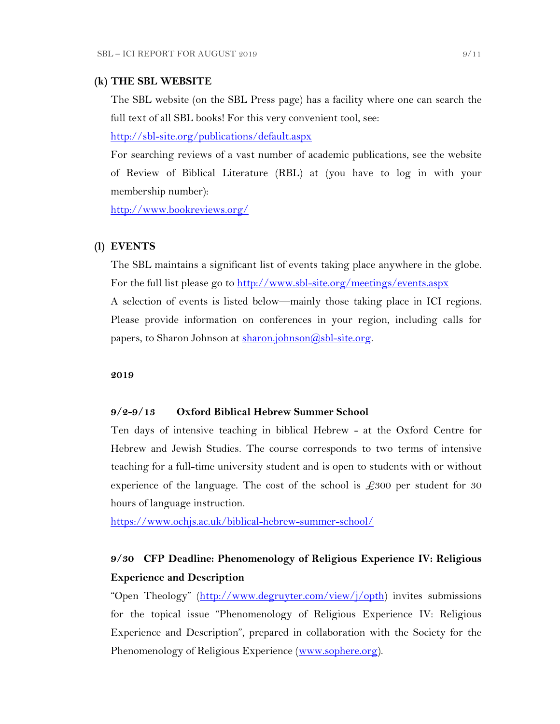#### **(k) THE SBL WEBSITE**

The SBL website (on the SBL Press page) has a facility where one can search the full text of all SBL books! For this very convenient tool, see:

<http://sbl-site.org/publications/default.aspx>

For searching reviews of a vast number of academic publications, see the website of Review of Biblical Literature (RBL) at (you have to log in with your membership number):

<http://www.bookreviews.org/>

### **(l) EVENTS**

The SBL maintains a significant list of events taking place anywhere in the globe. For the full list please go to<http://www.sbl-site.org/meetings/events.aspx> A selection of events is listed below—mainly those taking place in ICI regions. Please provide information on conferences in your region, including calls for papers, to Sharon Johnson at  $\frac{\text{sharon.}[\text{ohnson}(\text{Q}, \text{b})] - \text{site.} \text{org.}}{\text{g.}}$ 

**2019**

## **9/2-9/13 Oxford Biblical Hebrew Summer School**

Ten days of intensive teaching in biblical Hebrew - at the Oxford Centre for Hebrew and Jewish Studies. The course corresponds to two terms of intensive teaching for a full-time university student and is open to students with or without experience of the language. The cost of the school is  $\pounds 300$  per student for 30 hours of language instruction.

<https://www.ochjs.ac.uk/biblical-hebrew-summer-school/>

## **9/30 CFP Deadline: Phenomenology of Religious Experience IV: Religious Experience and Description**

"Open Theology" ([http://www.degruyter.com/view/j/opth\)](http://www.degruyter.com/view/j/opth) invites submissions for the topical issue "Phenomenology of Religious Experience IV: Religious Experience and Description", prepared in collaboration with the Society for the Phenomenology of Religious Experience [\(www.sophere.org\)](http://www.sophere.org/).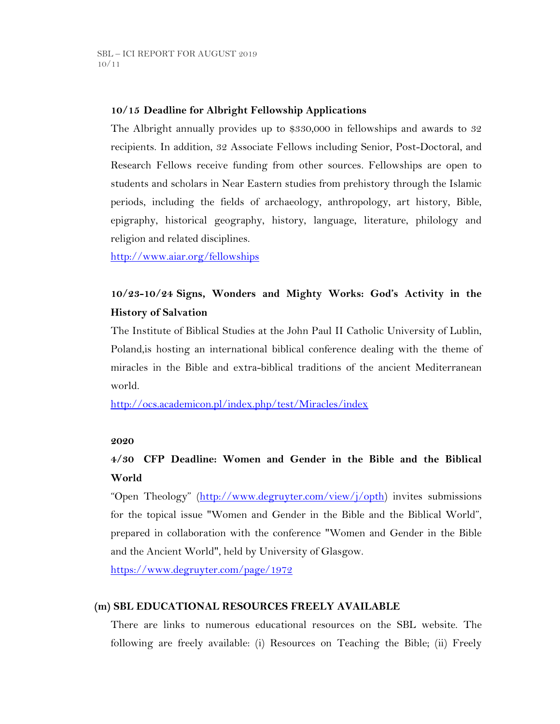## **10/15 Deadline for Albright Fellowship Applications**

The Albright annually provides up to \$330,000 in fellowships and awards to 32 recipients. In addition, 32 Associate Fellows including Senior, Post-Doctoral, and Research Fellows receive funding from other sources. Fellowships are open to students and scholars in Near Eastern studies from prehistory through the Islamic periods, including the fields of archaeology, anthropology, art history, Bible, epigraphy, historical geography, history, language, literature, philology and religion and related disciplines.

<http://www.aiar.org/fellowships>

## **10/23-10/24 Signs, Wonders and Mighty Works: God's Activity in the History of Salvation**

The Institute of Biblical Studies at the John Paul II Catholic University of Lublin, Poland,is hosting an international biblical conference dealing with the theme of miracles in the Bible and extra-biblical traditions of the ancient Mediterranean world.

<http://ocs.academicon.pl/index.php/test/Miracles/index>

### **2020**

# **4/30 CFP Deadline: Women and Gender in the Bible and the Biblical World**

"Open Theology" ([http://www.degruyter.com/view/j/opth\)](http://www.degruyter.com/view/j/opth) invites submissions for the topical issue "Women and Gender in the Bible and the Biblical World", prepared in collaboration with the conference "Women and Gender in the Bible and the Ancient World", held by University of Glasgow.

<https://www.degruyter.com/page/1972>

### **(m) SBL EDUCATIONAL RESOURCES FREELY AVAILABLE**

There are links to numerous educational resources on the SBL website. The following are freely available: (i) Resources on Teaching the Bible; (ii) Freely